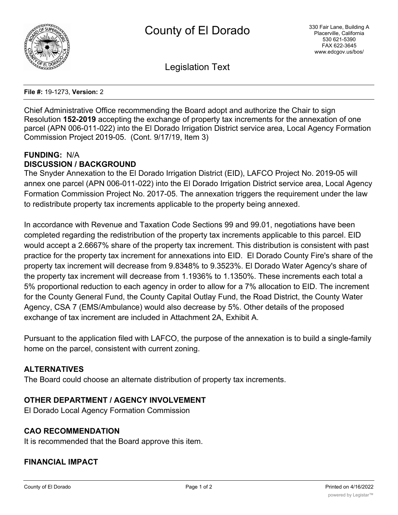

Legislation Text

**File #:** 19-1273, **Version:** 2

Chief Administrative Office recommending the Board adopt and authorize the Chair to sign Resolution **152-2019** accepting the exchange of property tax increments for the annexation of one parcel (APN 006-011-022) into the El Dorado Irrigation District service area, Local Agency Formation Commission Project 2019-05. (Cont. 9/17/19, Item 3)

#### **FUNDING:** N/A **DISCUSSION / BACKGROUND**

The Snyder Annexation to the El Dorado Irrigation District (EID), LAFCO Project No. 2019-05 will annex one parcel (APN 006-011-022) into the El Dorado Irrigation District service area, Local Agency Formation Commission Project No. 2017-05. The annexation triggers the requirement under the law to redistribute property tax increments applicable to the property being annexed.

In accordance with Revenue and Taxation Code Sections 99 and 99.01, negotiations have been completed regarding the redistribution of the property tax increments applicable to this parcel. EID would accept a 2.6667% share of the property tax increment. This distribution is consistent with past practice for the property tax increment for annexations into EID. El Dorado County Fire's share of the property tax increment will decrease from 9.8348% to 9.3523%. El Dorado Water Agency's share of the property tax increment will decrease from 1.1936% to 1.1350%. These increments each total a 5% proportional reduction to each agency in order to allow for a 7% allocation to EID. The increment for the County General Fund, the County Capital Outlay Fund, the Road District, the County Water Agency, CSA 7 (EMS/Ambulance) would also decrease by 5%. Other details of the proposed exchange of tax increment are included in Attachment 2A, Exhibit A.

Pursuant to the application filed with LAFCO, the purpose of the annexation is to build a single-family home on the parcel, consistent with current zoning.

# **ALTERNATIVES**

The Board could choose an alternate distribution of property tax increments.

### **OTHER DEPARTMENT / AGENCY INVOLVEMENT**

El Dorado Local Agency Formation Commission

### **CAO RECOMMENDATION**

It is recommended that the Board approve this item.

# **FINANCIAL IMPACT**